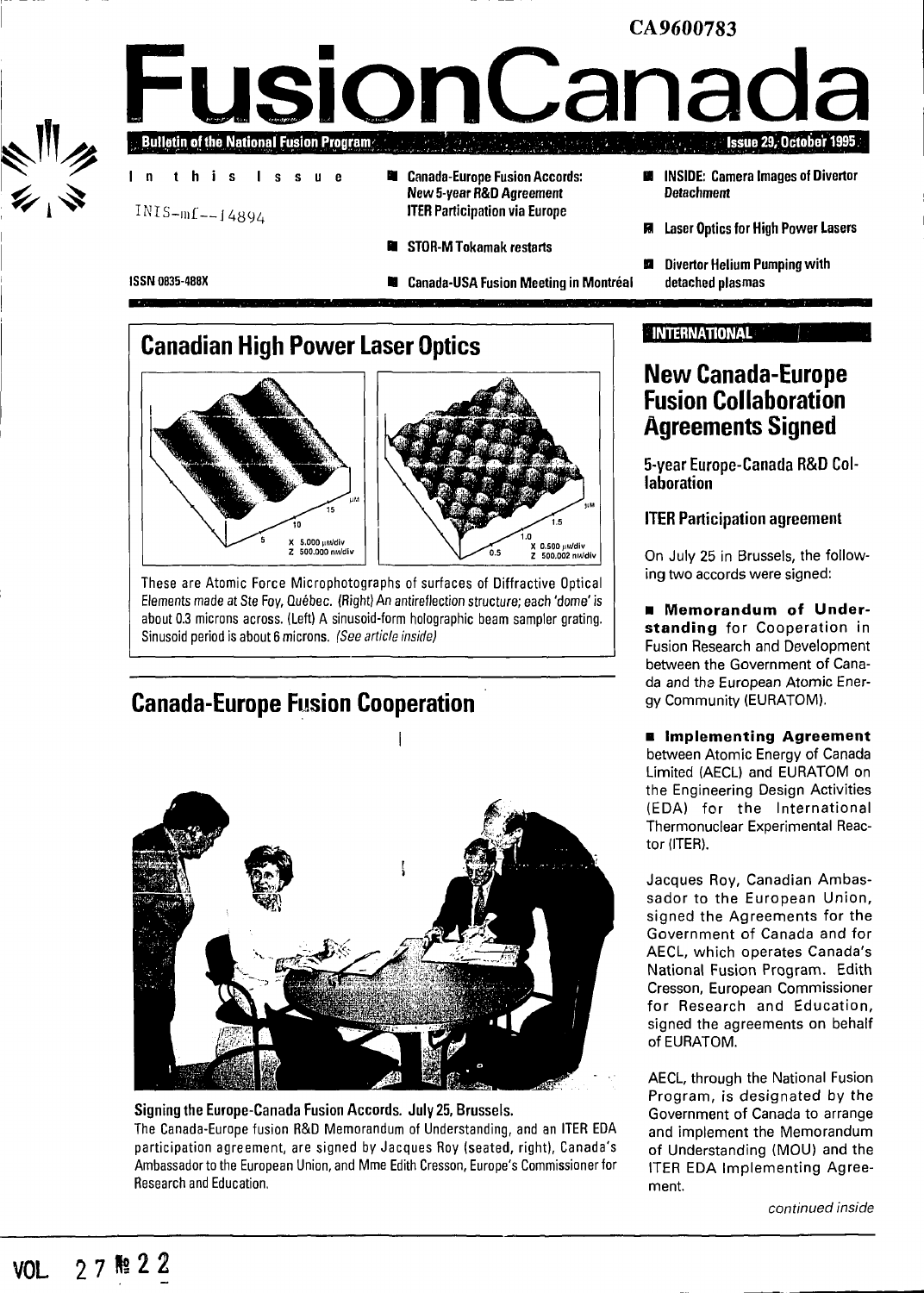### CA9600783 **FusionCanad Bulletin of the National Fusion Program Issue 29, October 1995** Canada-Europe Fusion Accords:  $\blacksquare$  **INSIDE:** Camera Images of Divertor ш I n thi s Issu e New 5-year R&D Agreement Detachment INIS-mf— J4894 ITER Participation via Europe **Laser Optics for High Power Lasers** • STOR-MTokamak restarts **Divertor Helium Pumping with ISSN 0835-488X** • Canada-USA Fusion Meeting in Montréal detached plasmas

## **Canadian High Power Laser Optics**





These are Atomic Force Microphotographs of surfaces of Diffractive Optical Elements made at Ste Foy, Québec. (Right) An antireflection structure; each 'dome' is about 0.3 microns across. (Left) A sinusoid-form holographic beam sampler grating. Sinusoid period is about 6 microns. (See article inside)

## **Canada-Europe Fusion Cooperation**



### Signing the Europe-Canada Fusion Accords. July 25, Brussels. The Canada-Europe fusion R&D Memorandum of Understanding, and an ITER EDA participation agreement, are signed by Jacques Roy (seated, right), Canada's Ambassador to the European Union, and Mme Edith Cresson, Europe's Commissioner for Research and Education.

### **INTERNATIONAL**

## **New Canada-Europe Fusion Collaboration Agreements Signed**

**5-year Europe-Canada R&D Collaboration**

### **ITER Participation agreement**

On July 25 in Brussels, the following two accords were signed:

**• Memorandum of Understanding** for Cooperation in Fusion Research and Development between the Government of Canada and the European Atomic Energy Community (EURATOM).

**• Implementing Agreement** between Atomic Energy of Canada Limited (AECL) and EURATOM on the Engineering Design Activities (EDA) for the International Thermonuclear Experimental Reactor (ITER).

Jacques Roy, Canadian Ambassador to the European Union, signed the Agreements for the Government of Canada and for AECL, which operates Canada's National Fusion Program. Edith Cresson, European Commissioner for Research and Education, signed the agreements on behalf of EURATOM.

AECL, through the National Fusion Program, is designated by the Government of Canada to arrange and implement the Memorandum of Understanding (MOU) and the ITER EDA Implementing Agreement.

continued inside

 $\frac{1}{2}$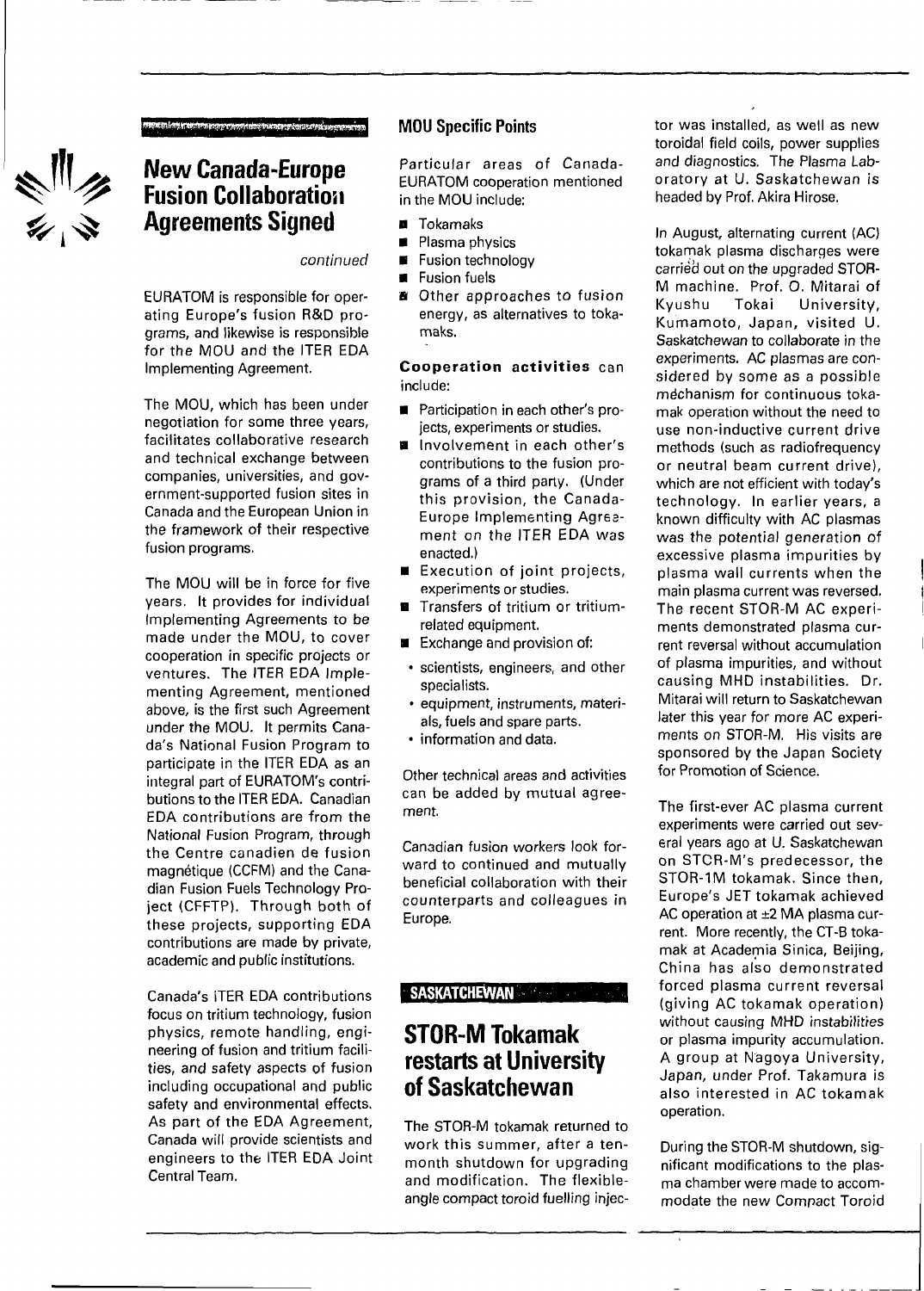

## **New Canada-Europe Fusion Collaboration Agreements Signed**

Circumstances experiences and construction

continued

EURATOM is responsible for operating Europe's fusion R&D programs, and likewise is responsible for the MOU and the ITER EDA Implementing Agreement.

The MOU, which has been under negotiation for some three years, facilitates collaborative research and technical exchange between companies, universities, and government-supported fusion sites in Canada and the European Union in the framework of their respective fusion programs.

The MOU will be in force for five years. It provides for individual Implementing Agreements to be made under the MOU, to cover cooperation in specific projects or ventures. The ITER EDA Implementing Agreement, mentioned above, is the first such Agreement under the MOU. It permits Canada's National Fusion Program to participate in the ITER EDA as an integral part of EURATOM's contributions to the ITER EDA. Canadian EDA contributions are from the National Fusion Program, through the Centre canadien de fusion magnétique (CCFM) and the Canadian Fusion Fuels Technology Project (CFFTP). Through both of these projects, supporting EDA contributions are made by private, academic and public institutions.

Canada's iTER EDA contributions focus on tritium technology, fusion physics, remote handling, engineering of fusion and tritium facilities, and safety aspects of fusion including occupational and public safety and environmental effects. As part of the EDA Agreement, Canada will provide scientists and engineers to the ITER EDA Joint Central Team.

### **MOU Specific Points**

Particular areas of Canada-EURATOM cooperation mentioned in the MOU include:

- **B** Tokamaks
- **Plasma physics**
- $\blacksquare$  Fusion technology
- **•** Fusion fuels<br>• Other appr
- **a** Other approaches to fusion energy, as alternatives to tokamaks.

**Cooperation activities** can include:

- **Participation in each other's pro**jects, experiments or studies.
- **a** Involvement in each other's contributions to the fusion programs of a third party. (Under this provision, the Canada-Europe Implementing Agreement on the ITER EDA was enacted.)
- **B** Execution of joint projects, experiments or studies.
- Transfers of tritium or tritiumrelated equipment.
- Exchange and provision of:
- scientists, engineers, and other specialists.
- equipment, instruments, materials, fuels and spare parts.
- information and data.

Other technical areas and activities can be added by mutual agreement.

Canadian fusion workers look forward to continued and mutually beneficial collaboration with their counterparts and colleagues in Europe.

### **SASKATCHEWAN**

## **STOR-M Tokamak restarts at University of Saskatchewan**

The STOR-M tokamak returned to work this summer, after a tenmonth shutdown for upgrading and modification. The flexibleangle compact toroid fuelling injector was installed, as well as new toroidal field coils, power supplies and diagnostics. The Plasma Laboratory at U. Saskatchewan is headed by Prof. Akira Hirose.

In August, alternating current (AC) tokamak plasma discharges were carried out on the upgraded STOR-M machine. Prof. O. Mitarai of<br>Kyushu - Tokai - University. Kyushu Tokai University, Kumamoto, Japan, visited U. Saskatchewan to collaborate in the experiments. AC plasmas are considered by some as a possible mechanism for continuous tokamak operation without the need to use non-inductive current drive methods (such as radiofrequency or neutral beam current drive), which are not efficient with today's technology. In earlier years, a known difficulty with AC plasmas was the potential generation of excessive plasma impurities by plasma wall currents when the main plasma current was reversed. The recent STOR-M AC experiments demonstrated plasma current reversal without accumulation of plasma impurities, and without causing MHD instabilities. Dr. Mitarai will return to Saskatchewan later this year for more AC experiments on STOR-M. His visits are sponsored by the Japan Society for Promotion of Science.

The first-ever AC plasma current experiments were carried out several years ago at U. Saskatchewan on STCR-M's predecessor, the STOR-1M tokamak. Since then, Europe's JET tokamak achieved AC operation at ±2 MA plasma current. More recently, the CT-B tokamak at Academia Sinica, Beijing, China has also demonstrated forced plasma current reversal (giving AC tokamak operation) without causing MHD instabilities or plasma impurity accumulation. A group at Nagoya University, Japan, under Prof. Takamura is also interested in AC tokamak operation.

During the STOR-M shutdown, significant modifications to the plasma chamber were made to accommodate the new Compact Toroid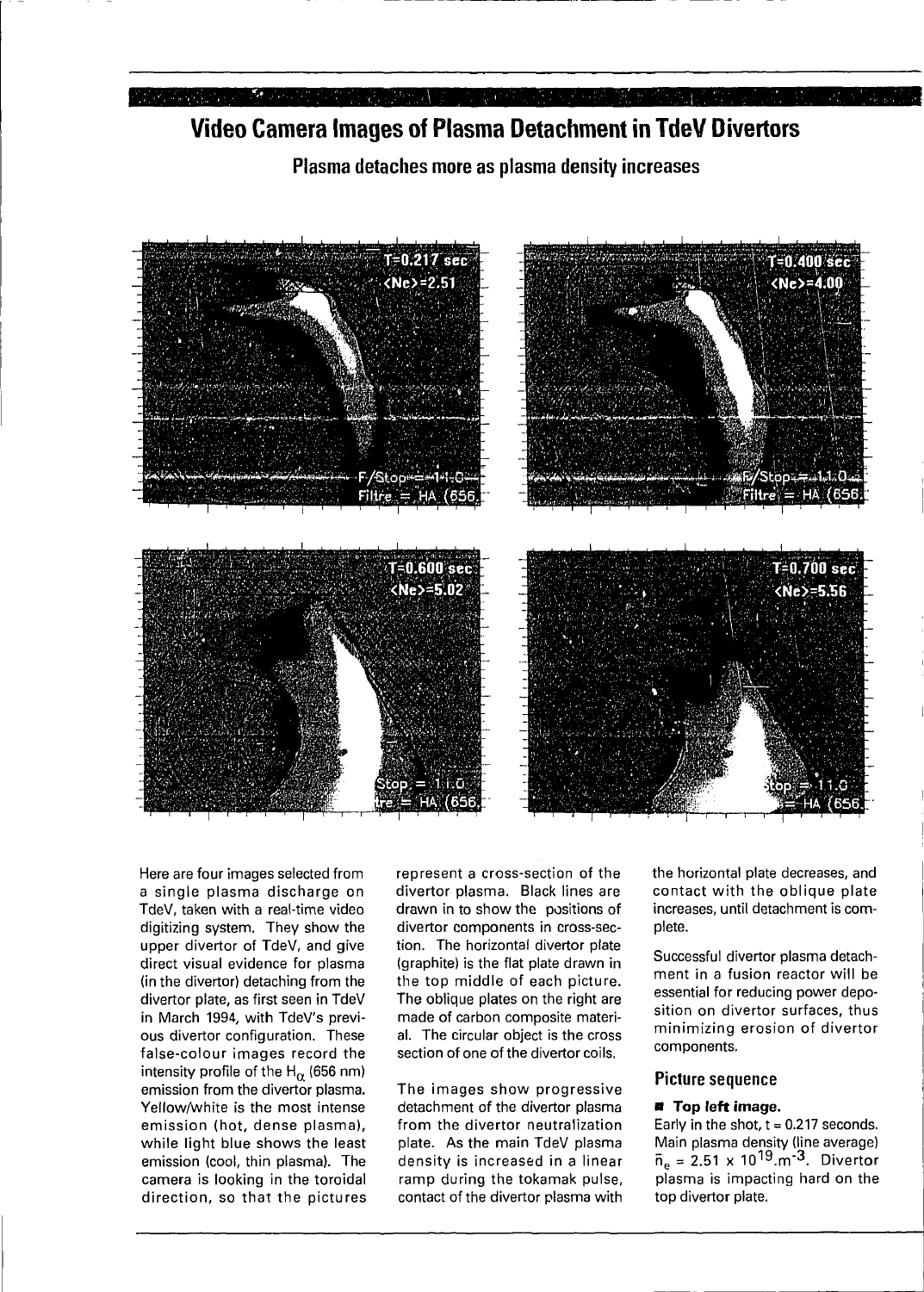### **Communication**

## **Video Camera Images of Plasma Detachment in TdeV Divertors**

**Plasma detaches more as plasma density increases**



Here are four images selected from a single plasma discharge on TdeV, taken with a real-time video digitizing system. They show the upper divertor of TdeV, and give direct visual evidence for plasma (in the divertor) detaching from the divertor plate, as first seen in TdeV in March 1994, with TdeV's previous divertor configuration. These false-colour images record the intensity profile of the H $_{\alpha}$  (656 nm) emission from the divertor plasma. Yellow/white is the most intense emission (hot, dense plasma), while light blue shows the least emission (cool, thin plasma). The camera is looking in the toroidal direction, so that the pictures represent a cross-section of the divertor plasma. Black lines are drawn in to show the positions of divertor components in cross-section. The horizontal divertor plate (graphite) is the flat plate drawn in the top middle of each picture. The oblique plates on the right are made of carbon composite material. The circular object is the cross section of one of the divertor coils.

The images show progressive detachment of the divertor plasma from the divertor neutralization plate. As the main TdeV plasma density is increased in a linear ramp during the tokamak pulse, contact of the divertor plasma with the horizontal plate decreases, and contact with the oblique plate increases, until detachment is complete.

Successful divertor plasma detachment in a fusion reactor will be essential for reducing power deposition on divertor surfaces, thus minimizing erosion of divertor components.

### **Picture sequence**

### **• Top left image.**

Early in the shot,  $t = 0.217$  seconds. Main plasma density (line average)  $\bar{\bm{{\mathsf n}}}_{\mathsf e}$  = 2.51 x 10 $^{19}$ .m<sup>-3</sup>. Divertor plasma is impacting hard on the top divertor plate.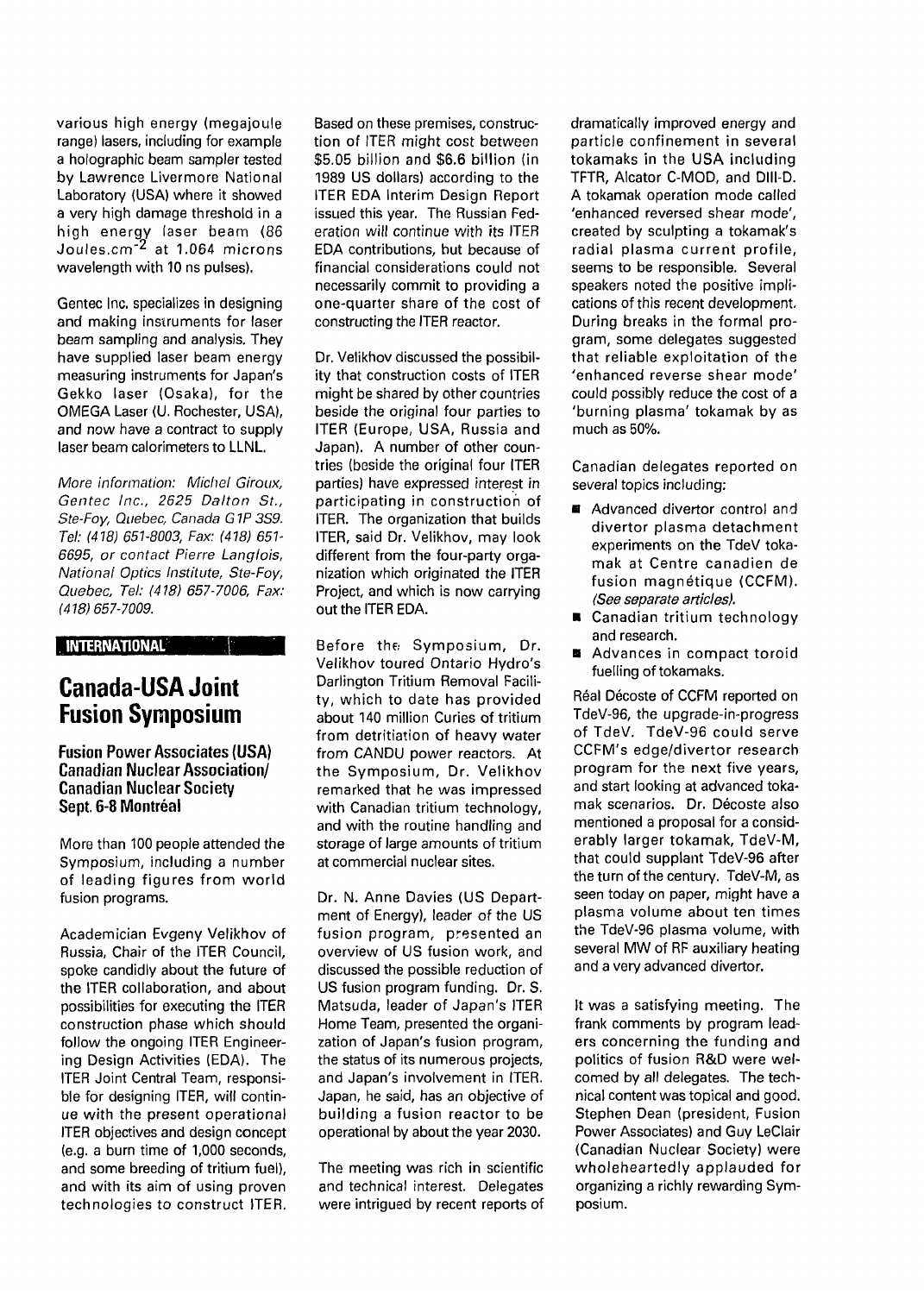various high energy (megajoule range) lasers, including for example a holographic beam sampler tested by Lawrence Livermore National Laboratory (USA) where it showed a very high damage threshold in a high energy laser beam (86 Joules.cm"<sup>2</sup> at 1.064 microns wavelength with 10 ns pulses).

Gentec Inc. specializes in designing and making instruments for laser beam sampling and analysis. They have supplied laser beam energy measuring instruments for Japan's Gekko laser (Osaka), for the OMEGA Laser (U. Rochester, USA), and now have a contract to supply laser beam calorimeters to LLNL.

More information: Michel Giroux, Gentec Inc., 2625 Dalton St., Ste-Foy, Quebec, Canada G IP 3S9. Tel: (418) 651-8003, Fax: (418) 651- 6695, or contact Pierre Langlois, National Optics Institute, Ste-Foy, Quebec, Tel: (418) 657-7006, Fax: (418)657-7009.

**INTERNATIONAL**

## **Canada-USA Joint Fusion Symposium**

**Fusion Power Associates (USA) Canadian Nuclear Association/ Canadian Nuclear Society Sept. 6-8 Montréal**

More than 100 people attended the Symposium, including a number of leading figures from world fusion programs.

Academician Evgeny Velikhov of Russia, Chair of the ITER Council, spoke candidly about the future of the ITER collaboration, and about possibilities for executing the ITER construction phase which should follow the ongoing ITER Engineering Design Activities (EDA). The ITER Joint Central Team, responsible for designing ITER, will continue with the present operational ITER objectives and design concept (e.g. a burn time of 1,000 seconds, and some breeding of tritium fuel), and with its aim of using proven technologies to construct ITER.

Based on these premises, construction of ITER might cost between \$5.05 billion and \$6.6 billion (in 1989 US dollars) according to the ITER EDA Interim Design Report issued this year. The Russian Federation will continue with its ITER EDA contributions, but because of financial considerations could not necessarily commit to providing a one-quarter share of the cost of constructing the ITER reactor.

Dr. Velikhov discussed the possibility that construction costs of ITER might be shared by other countries beside the original four parties to ITER (Europe, USA, Russia and Japan). A number of other countries (beside the original four ITER parties) have expressed interest in participating in construction of ITER. The organization that builds ITER, said Dr. Velikhov, may look different from the four-party organization which originated the ITER Project, and which is now carrying out the ITER EDA.

Before the Symposium, Dr. Velikhov toured Ontario Hydro's Darlington Tritium Removal Facility, which to date has provided about 140 million Curies of tritium from detritiation of heavy water from CANDU power reactors. At the Symposium, Dr. Velikhov remarked that he was impressed with Canadian tritium technology, and with the routine handling and storage of large amounts of tritium at commercial nuclear sites.

Dr. N. Anne Davies (US Department of Energy), leader of the US fusion program, presented an overview of US fusion work, and discussed the possible reduction of US fusion program funding. Dr. S. Matsuda, leader of Japan's ITER Home Team, presented the organization of Japan's fusion program, the status of its numerous projects, and Japan's involvement in ITER. Japan, he said, has an objective of building a fusion reactor to be operational by about the year 2030.

The meeting was rich in scientific and technical interest. Delegates were intrigued by recent reports of dramatically improved energy and particle confinement in several tokamaks in the USA including TFTR, Alcator C-MOD, and Dlll-D. A tokamak operation mode called 'enhanced reversed shear mode', created by sculpting a tokamak's radial plasma current profile, seems to be responsible. Several speakers noted the positive implications of this recent development. During breaks in the formal program, some delegates suggested that reliable exploitation of the 'enhanced reverse shear mode' could possibly reduce the cost of a 'burning plasma' tokamak by as much as 50%.

Canadian delegates reported on several topics including:

- Advanced divertor control and divertor plasma detachment experiments on the TdeV tokamak at Centre canadien de fusion magnétique (CCFM). (See separate articles).
- **E** Canadian tritium technology and research.
- $\blacksquare$  Advances in compact toroid fuelling of tokamaks.

Real Décoste of CCFM reported on TdeV-96, the upgrade-in-progress of TdeV. TdeV-96 could serve CCFM's edge/divertor research program for the next five years, and start looking at advanced tokamak scenarios. Dr. Décoste also mentioned a proposal for a considerably larger tokamak, TdeV-M, that could supplant TdeV-96 after the turn of the century. TdeV-M, as seen today on paper, might have a plasma volume about ten times the TdeV-96 plasma volume, with several MW of RF auxiliary heating and a very advanced divertor.

It was a satisfying meeting. The frank comments by program leaders concerning the funding and politics of fusion R&D were welcomed by all delegates. The technical content was topical and good. Stephen Dean (president, Fusion Power Associates) and Guy LeClair (Canadian Nuclear Society) were wholeheartedly applauded for organizing a richly rewarding Symposium.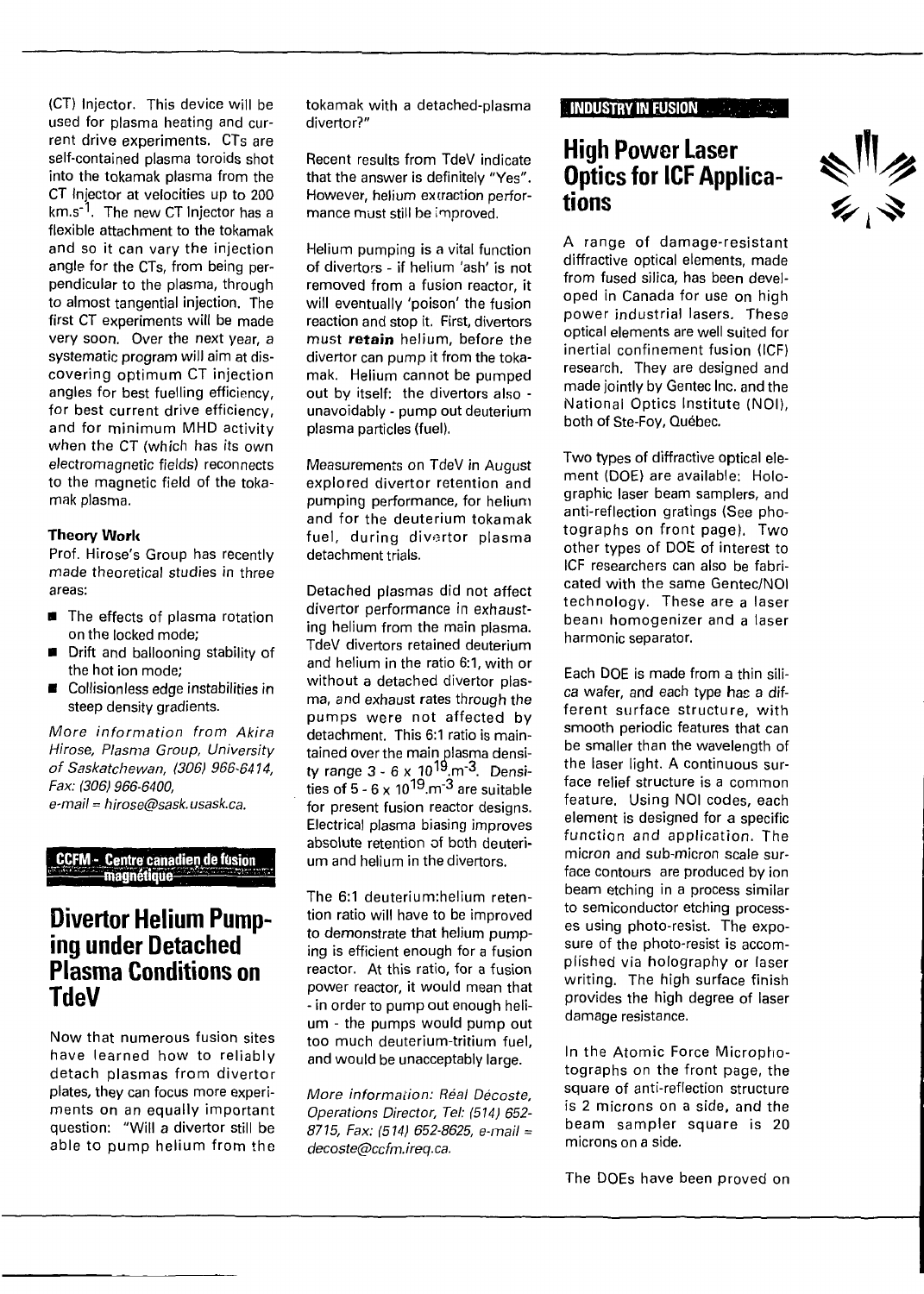(CT) Injector. This device will be used for plasma heating and current drive experiments. CTs are self-contained plasma toroids shot into the tokamak plasma from the CT Injector at velocities up to 200 km.s<sup>-1</sup>. The new CT Injector has a flexible attachment to the tokamak and so it can vary the injection angle for the CTs, from being perpendicular to the plasma, through to almost tangential injection. The first CT experiments will be made very soon. Over the next year, a systematic program will aim at discovering optimum CT injection angles for best fuelling efficiency, for best current drive efficiency, and for minimum MHD activity when the CT (which has its own electromagnetic fields) reconnects to the magnetic field of the tokamak plasma.

### **Theory Work**

Prof. Hirose's Group has recently made theoretical studies in three areas:

- $\blacksquare$  The effects of plasma rotation on the locked mode;
- Drift and ballooning stability of the hot ion mode;
- Collisionless edge instabilities in steep density gradients.

More information from Akira Hirose, Plasma Group, University of Saskatchewan, (306) 966-6414, Fax: (306) 966-6400, e-mail = hirose@sask.usask.ca.

**CCFM - Centre canadien de fusion aghétiqù'**

### **Divertor Helium Pumping under Detached Plasma Conditions on TdeV**

Now that numerous fusion sites have learned how to reliably detach plasmas from divertor plates, they can focus more experiments on an equally important question: "Will a divertor still be able to pump helium from the tokamak with a detached-plasma divertor?"

Recent results from TdeV indicate that the answer is definitely "Yes". However, helium extraction performance must still be improved.

Helium pumping is a vital function of divertors - if helium 'ash' is not removed from a fusion reactor, it will eventually 'poison' the fusion reaction and stop it. First, divertors must **retain** helium, before the divertor can pump it from the tokamak. Helium cannot be pumped out by itself: the divertors also unavoidably - pump out deuterium plasma particles (fuel).

Measurements on TdeV in August explored divertor retention and pumping performance, for helium and for the deuterium tokamak fuel, during divertor plasma detachment trials.

Detached plasmas did not affect divertor performance in exhausting helium from the main plasma. TdeV divertors retained deuterium and helium in the ratio 6:1, with or without a detached divertor plasma, and exhaust rates through the pumps were not affected by detachment. This 6:1 ratio is maintained over the main plasma density range 3 - 6 x 10<sup>19</sup>.m<sup>-3</sup>. Densities of 5 - 6 x  $10^{19}$  m<sup>-3</sup> are suitable for present fusion reactor designs. Electrical plasma biasing improves absolute retention of both deuterium and helium in the divertors.

The 6:1 deuterium:helium retention ratio will have to be improved to demonstrate that helium pumping is efficient enough for a fusion reactor. At this ratio, for a fusion power reactor, it would mean that - in order to pump out enough helium - the pumps would pump out too much deuterium-tritium fuel, and would be unacceptably large.

More information: Réal Décoste, Operations Director, Tel: (514) 652- 8715, Fax: (514) 652-8625, e-mail = decoste@ccfm. ireq. ca.

### **INDUSTRY IN FUSION**

## **High Power Laser Optics for ICF Applications**

A range of damage-resistant diffractive optical elements, made from fused silica, has been developed in Canada for use on high power industrial lasers. These optical elements are well suited for inertial confinement fusion (ICF) research. They are designed and made jointly by Gentec Inc. and the National Optics Institute (NOI), both of Ste-Foy, Québec.

Two types of diffractive optical element (DOE) are available: Holographic laser beam samplers, and anti-reflection gratings (See photographs on front page). Two other types of DOE of interest to ICF researchers can also be fabricated with the same Gentec/NOI technology. These are a laser beam homogenizer and a laser harmonic separator.

Each DOE is made from a thin silica wafer, and each type has a different surface structure, with smooth periodic features that can be smaller than the wavelength of the laser light. A continuous surface relief structure is a common feature. Using NOI codes, each element is designed for a specific function and application. The micron and sub-micron scale surface contours are produced by ion beam etching in a process similar to semiconductor etching processes using photo-resist. The exposure of the photo-resist is accomplished via holography or laser writing. The high surface finish provides the high degree of laser damage resistance.

In the Atomic Force Microphotographs on the front page, the square of anti-reflection structure is 2 microns on a side, and the beam sampler square is 20 microns on a side.

The DOEs have been proved on

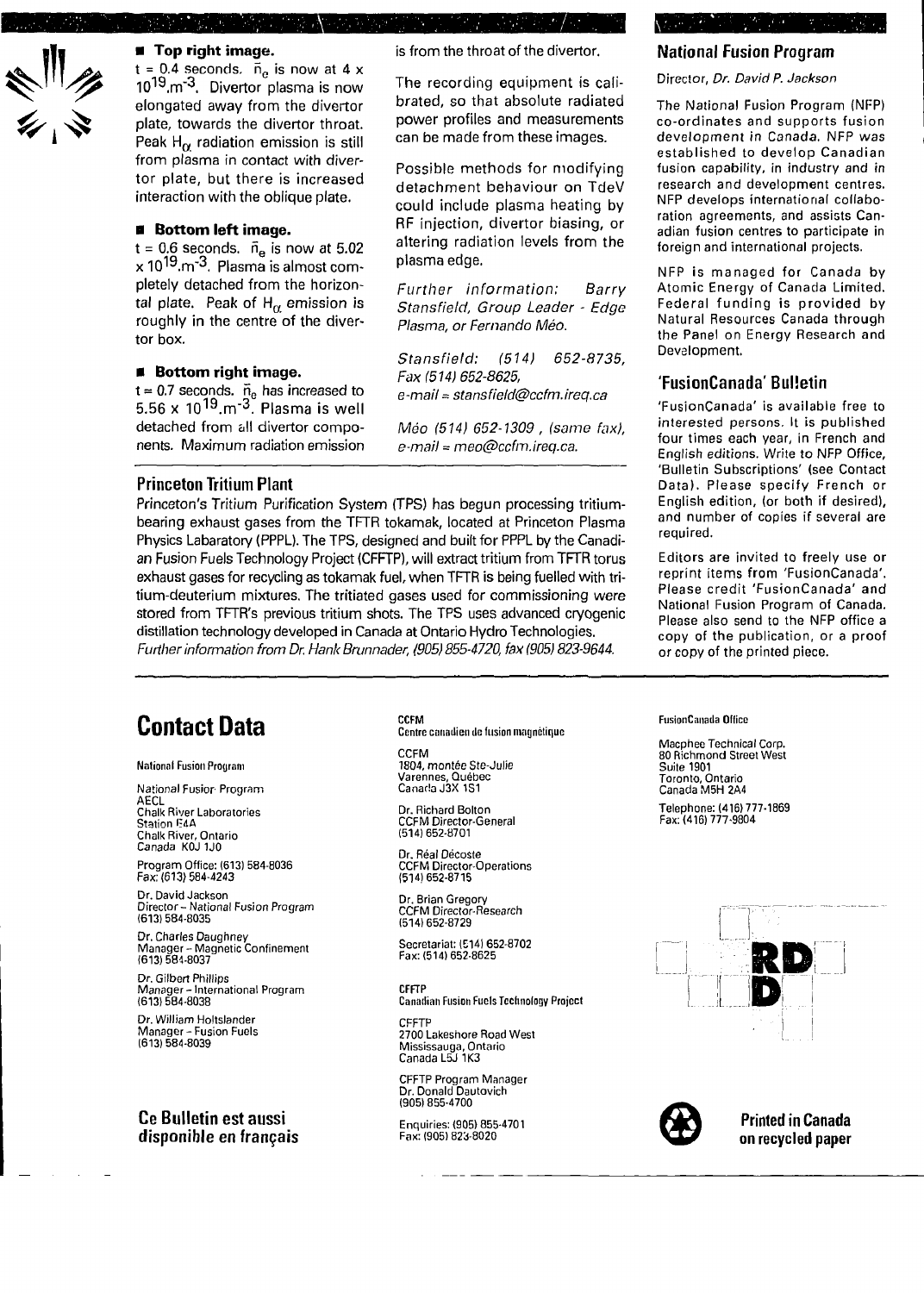

### **• Top right image.**

 $t = 0.4$  seconds.  $\bar{n}_e$  is now at 4 x 10<sup>19</sup><sub>·m<sup>-3</sup>. Divertor plasma is now</sub> elongated away from the divertor plate, towards the divertor throat. Peak H $_{\alpha}$  radiation emission is still from plasma in contact with divertor plate, but there is increased interaction with the oblique plate.

### **• Bottom left image.**

 $t = 0.6$  seconds.  $\bar{n}_e$  is now at 5.02  $x 10^{19}$ .m<sup>-3</sup>. Plasma is almost completely detached from the horizontal plate. Peak of  $H_\alpha$  emission is roughly in the centre of the divertor box.

### **• Bottom right image.**

t = 0.7 seconds.  $\bar{n}_e$  has increased to 5.56 x 10<sup>19</sup>.m<sup>-3</sup>. Plasma is well detached from all divertor components. Maximum radiation emission

### **Princeton Tritium Plant**

Princeton's Tritium Purification System (TPS) has begun processing tritiumbearing exhaust gases from the TFTR tokamak, located at Princeton Plasma Physics Labaratory (PPPL). The TPS, designed and built for PPPL by the Canadian Fusion Fuels Technology Project (CFFTP), will extract tritium from TFTR torus exhaust gases for recycling as tokamak fuel, when TFTR is being fuelled with tritium-deuterium mixtures. The tritiated gases used for commissioning were stored from TFTR's previous tritium shots. The TPS uses advanced cryogenic distillation technology developed in Canada at Ontario Hydro Technologies. Further information from Dr. Hank Brunnader, (905) 855-4720, fax (905) 823-9644.

## **Contact Data**

National Fusion Program

National Fusior Program AECL Chalk River Laboratories Station E4A Chalk River, Ontario Canada KOJ 1J0

Program Office: (613) 584-8036 Fax: (613) 584-4243

Dr. David Jackson Director- National Fusion Program (613) 584-8035

Dr. Charles Daughney Manager - Magnetic Confinement (613) 584-8037

Dr. Gilbert Phillips Manager - International Program (613) 584-8038

Dr. William Holtslander Manager - Fusion Fuels (613) 584-8039

### **Ce Bulletin est aussi disponible en français**

CCFM Centre canadien de fusion magnétique

is from the throat of the divertor.

plasma edge.

The recording equipment is calibrated, so that absolute radiated power profiles and measurements can be made from these images. Possible methods for modifying detachment behaviour on TdeV could include plasma heating by RF injection, divertor biasing, or altering radiation levels from the

Further information; Barry Stansfield, Group Leader - Edge

Stansfield: (514) 652-8735,

e-mail = stansfield@ccfm.ireq.ca

Méo (514) 652-1309 , (same fax), e-mail = meo@ccfm.ireq.ca.

Plasma, or Fernando Méo.

Fax (514) 652-8625,

CCFM 1804, montée Ste-Julie Varennes, Québec Canada J3X 1S1

Dr. Richard Bolton CCFM Director-General (514)652-8701

Dr. Réal Décoste CCFM Director-Operations (514)652-8715

Dr. Brian Gregory CCFM Director-Research (514)652-8729

Secretariat: (E141 652-8702 Fax:(514)652-8625

CFFTP Canadian Fusion Fuels Technology Project

CFFTP 2700 Lakeshore Road West Mississauga, Ontario Canada L5J 1K3

CFFTP Program Manager Dr. Donald Dautovich (905) 855-4700

Enquiries: (905) 855-4701 Fax: (905) 823-8020

### **National Fusion Program**

Director, Dr. David P. Jackson

The National Fusion Program (NFP) co-ordinates and supports fusion development in Canada. NFP was established to develop Canadian fusion capability, in industry and in research and development centres. NFP develops international collaboration agreements, and assists Canadian fusion centres to participate in foreign and international projects.

NFP is managed for Canada by Atomic Energy of Canada Limited. Federal funding is provided by Natural Resources Canada through the Panel on Energy Research and Development.

### **'FusionCanada'Bulletin**

'FusionCanada' is available free to interested persons. It is published four times each year, in French and English editions. Write to NFP Office, 'Bulletin Subscriptions' (see Contact Data). Please specify French or English edition, (or both if desired), and number of copies if several are required.

Editors are invited to freely use or reprint items from 'FusionCanada'. Please credit 'FusionCanada' and National Fusion Program of Canada. Please also send to the NFP office a copy of the publication, or a proof or copy of the printed piece.

#### FusionCanada Office

Macphee Technical Corp. 80 Richmond Street West Suite 1901 Toronto, Ontario Canada M5H 2A4 Telephone: (416) 777-1869 Fax:(416)777-9804





**Printed in Canada on recycled paper**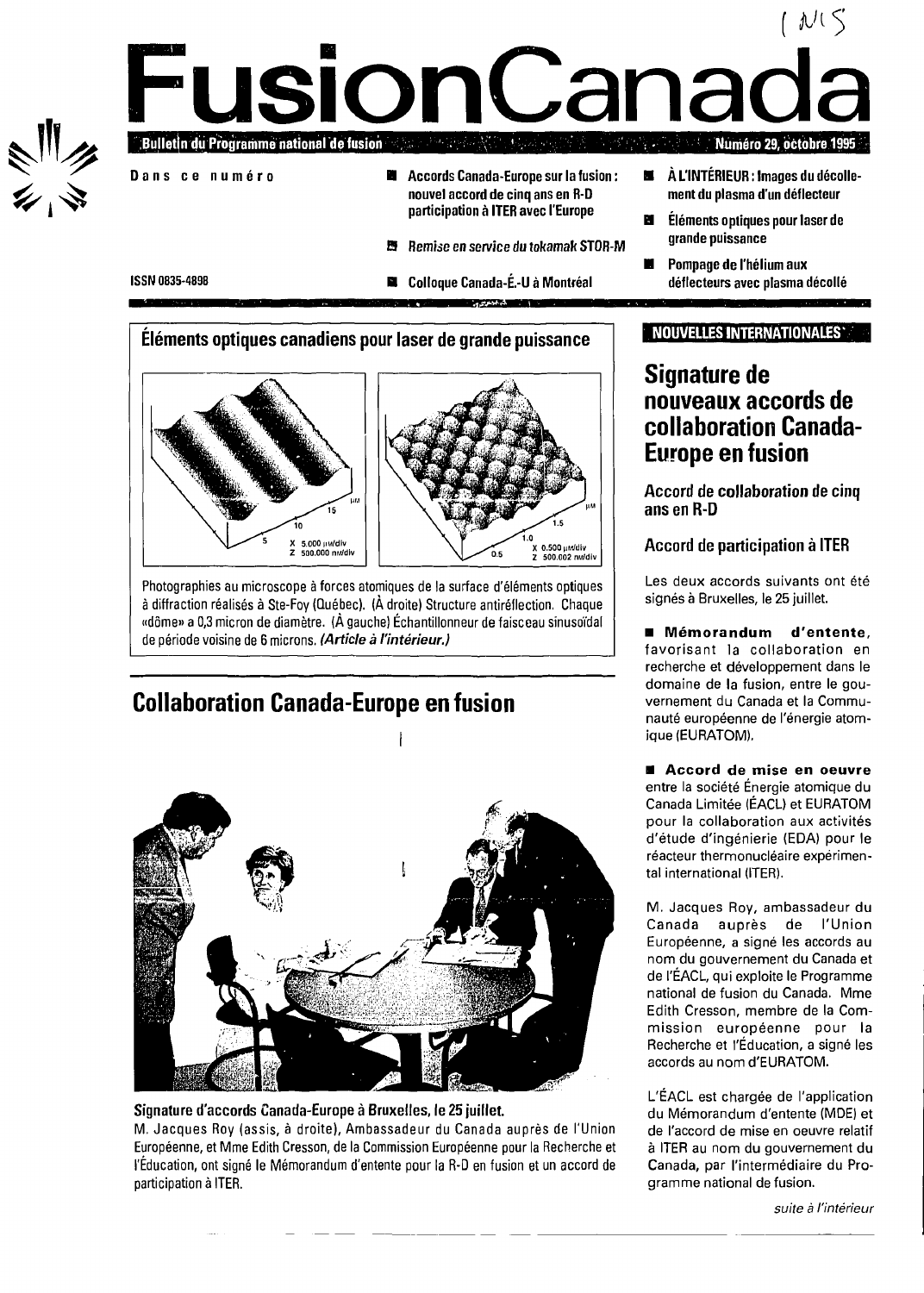### $(\sqrt[p]{\mathbb{R}})$ **FusionCanad Bulletin du Programme national de fusion Numéro 29, octobre 1995 Dan s c e numér o • Accords Canada-Europe sur la fusion :**  $\blacksquare$ **À L'INTÉRIEUR : Images du décollenouvel accord de cinq ans en R-D ment du plasma d'un déflecteur participation à ITER avec l'Europe Éléments optiques pour laser de grande puissance B Remise en service du tokamak STOR-M**

**• Colloque Canada-É.-U à Montréal**

**Pompage de l'hélium aux déflecteurs avec plasma décollé**

**Éléments optiques canadiens pour laser de grande puissance**

**ISSN** 0835-4898



Photographies au microscope à forces atomiques de la surface d'éléments optiques à diffraction réalisés à Ste-Foy (Québec). (À droite) Structure antiréflection. Chaque «dôme» a 0,3 micron de diamètre. (À gauche) Échantillonneur de faisceau sinusoïdal de période voisine de 6 microns. **(Article** à **l'intérieur.)**

## **Collaboration Canada-Europe en fusion**



### **Signature d'accords Canada-Europe à Bruxelles, le 25 juillet.**

M. Jacques Roy (assis, à droite), Ambassadeur du Canada auprès de l'Union Européenne, et Mme Edith Cresson, de la Commission Européenne pour la Recherche et l'Éducation, ont signé le Mémorandum d'entente pour la R-D en fusion et un accord de participation à ITER.

### **NOUVELLES INTERNATIONALES'**

## **Signature de nouveaux accords de collaboration Canada-Europe en fusion**

**Accord de collaboration de cinq ans en R-D**

**Accord de participation à ITER**

Les deux accords suivants ont été signés à Bruxelles, le 25 juillet.

**• Mémorandum d'entente,** favorisant la collaboration en recherche et développement dans le domaine de la fusion, entre le gouvernement du Canada et la Communauté européenne de l'énergie atomique (EURATOM).

**• Accord de mise en oeuvre** entre la société Énergie atomique du Canada Limitée (ÉACU et EURATOM pour la collaboration aux activités d'étude d'ingénierie (EDA) pour le réacteur thermonucléaire expérimental international (ITER).

M. Jacques Roy, ambassadeur du Canada auprès de l'Union Européenne, a signé les accords au nom du gouvernement du Canada et de l'ÉACL, qui exploite le Programme national de fusion du Canada. Mme Edith Cresson, membre de la Commission européenne pour la Recherche et l'Éducation, a signé les accords au nom d'EURATOM.

L'ÉACL est chargée de l'application du Mémorandum d'entente (MDE) et de l'accord de mise en oeuvre relatif à ITER au nom du gouvernement du Canada, par l'intermédiaire du Programme national de fusion.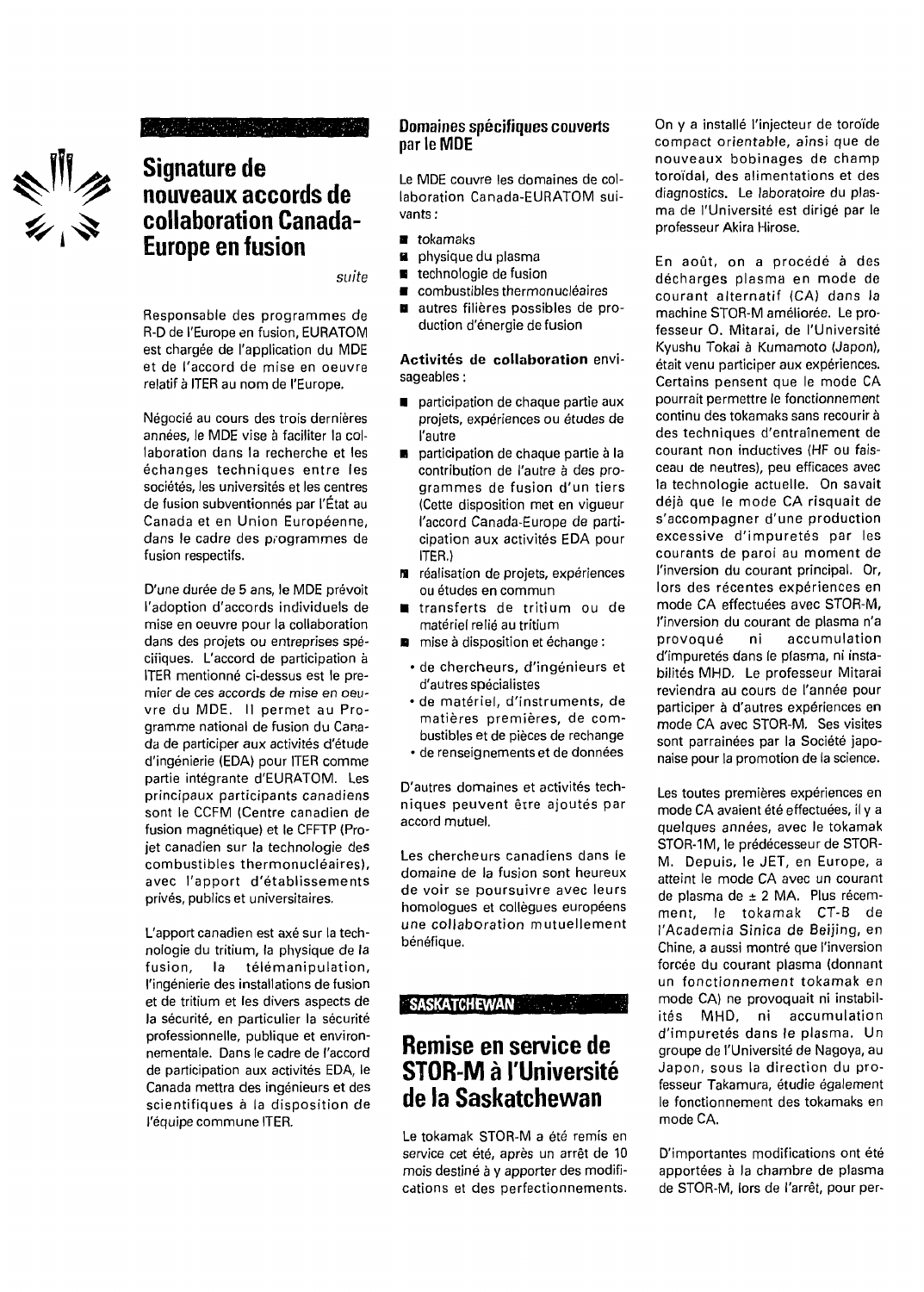

### wa suna matamati a Mare

## **Signature de nouveaux accords de collaboration Canada-Europe en fusion**

suite

Responsable des programmes de R-D de l'Europe en fusion, EURATOM est chargée de l'application du WIDE et de l'accord de mise en oeuvre relatif à ITER au nom de l'Europe.

Négocié au cours des trois dernières années, le MDE vise à faciliter la collaboration dans la recherche et les échanges techniques entre les sociétés, les universités et les centres de fusion subventionnés par l'État au Canada et en Union Européenne, dans le cadre des programmes de fusion respectifs.

D'une durée de 5 ans, le MDE prévoit l'adoption d'accords individuels de mise en oeuvre pour la collaboration dans des projets ou entreprises spécifiques. L'accord de participation à ITER mentionné ci-dessus est le premier de ces accords de mise en oeuvre du MDE. Il permet au Programme national de fusion du Canada de participer aux activités d'étude d'ingénierie (EDA) pour ITER comme partie intégrante d'EURATOM. Les principaux participants canadiens sont le CCFM (Centre canadien de fusion magnétique) et le CFFTP (Projet canadien sur la technologie des combustibles thermonucléaires), avec l'apport d'établissements privés, publics et universitaires.

L'apport canadien est axé sur la technologie du tritium, la physique de la fusion, la télémanipulation, l'ingénierie des installations de fusion et de tritium et les divers aspects de la sécurité, en particulier la sécurité professionnelle, publique et environnementale. Dans le cadre de l'accord de participation aux activités EDA, le Canada mettra des ingénieurs et des scientifiques à la disposition de l'équipe commune ITER.

### **Domaines spécifiques couverts par le MDE**

Le MDE couvre les domaines de collaboration Canada-EURATOM suivants :

- **a** tokamaks
- **a** physique du plasma
- $\blacksquare$ technologie de fusion
- combustibles thermonucléaires  $\blacksquare$
- autres filières possibles de pro- $\blacksquare$ duction d'énergie de fusion

**Activités de collaboration** envisageables :

- **participation de chaque partie aux** projets, expériences ou études de l'autre
- participation de chaque partie à la contribution de l'autre à des programmes de fusion d'un tiers (Cette disposition met en vigueur l'accord Canada-Europe de participation aux activités EDA pour ITER.)
- $M$  réalisation de projets, expériences ou études en commun
- **u** transferts de tritium ou de matériel relié au tritium
- **n** mise à disposition et échange :
	- de chercheurs, d'ingénieurs et d'autres spécialistes
- de matériel, d'instruments, de matières premières, de combustibles et de pièces de rechange
- de renseignements et de données

D'autres domaines et activités techniques peuvent être ajoutés par accord mutuel.

Les chercheurs canadiens dans le domaine de la fusion sont heureux de voir se poursuivre avec leurs homologues et collègues européens une collaboration mutuellement bénéfique.

### **SASKATCHEWAN**

## **Remise en service de STOR-M à l'Université de la Saskatchewan**

Le tokamak STOR-M a été remis en service cet été, après un arrêt de 10 mois destiné à y apporter des modifications et des perfectionnements.

On y a installé l'injecteur de toroïde compact orientable, ainsi que de nouveaux bobinages de champ toroidal, des alimentations et des diagnostics. Le laboratoire du plasma de l'Université est dirigé par le professeur Akira Hirose.

En août, on a procédé à des décharges plasma en mode de courant alternatif (CA) dans la machine STOR-M améliorée. Le professeur O. Mitarai, de l'Université Kyushu Tokai à Kumamoto (Japon), était venu participer aux expériences. Certains pensent que le mode CA pourrait permettre le fonctionnement continu des tokamaks sans recourir à des techniques d'entraînement de courant non inductives (HF ou faisceau de neutres), peu efficaces avec la technologie actuelle. On savait déjà que le mode CA risquait de s'accompagner d'une production excessive d'impuretés par les courants de paroi au moment de l'inversion du courant principal. Or, lors des récentes expériences en mode CA effectuées avec STOR-M, l'inversion du courant de plasma n'a provoqué ni accumulation d'impuretés dans le plasma, ni instabilités MHD. Le professeur Mitarai reviendra au cours de l'année pour participer à d'autres expériences en mode CA avec STOR-M. Ses visites sont parrainées par la Société japonaise pour la promotion de la science.

Les toutes premières expériences en mode CA avaient été effectuées, il y a quelques années, avec le tokamak STOR-1M, le prédécesseur de STOR-M. Depuis, le JET, en Europe, a atteint le mode CA avec un courant de plasma de ± 2 MA. Plus récemment, le tokamak CT-B de l'Academia Sinica de Beijing, en Chine, a aussi montré que l'inversion forcée du courant plasma (donnant un fonctionnement tokamak en mode CA) ne provoquait ni instabilités MHD, ni accumulation d'impuretés dans le plasma. Un groupe de l'Université de Nagoya, au Japon, sous la direction du professeur Takamura, étudie également le fonctionnement des tokamaks en mode CA.

D'importantes modifications ont été apportées à la chambre de plasma de STOR-M, lors de l'arrêt, pour per-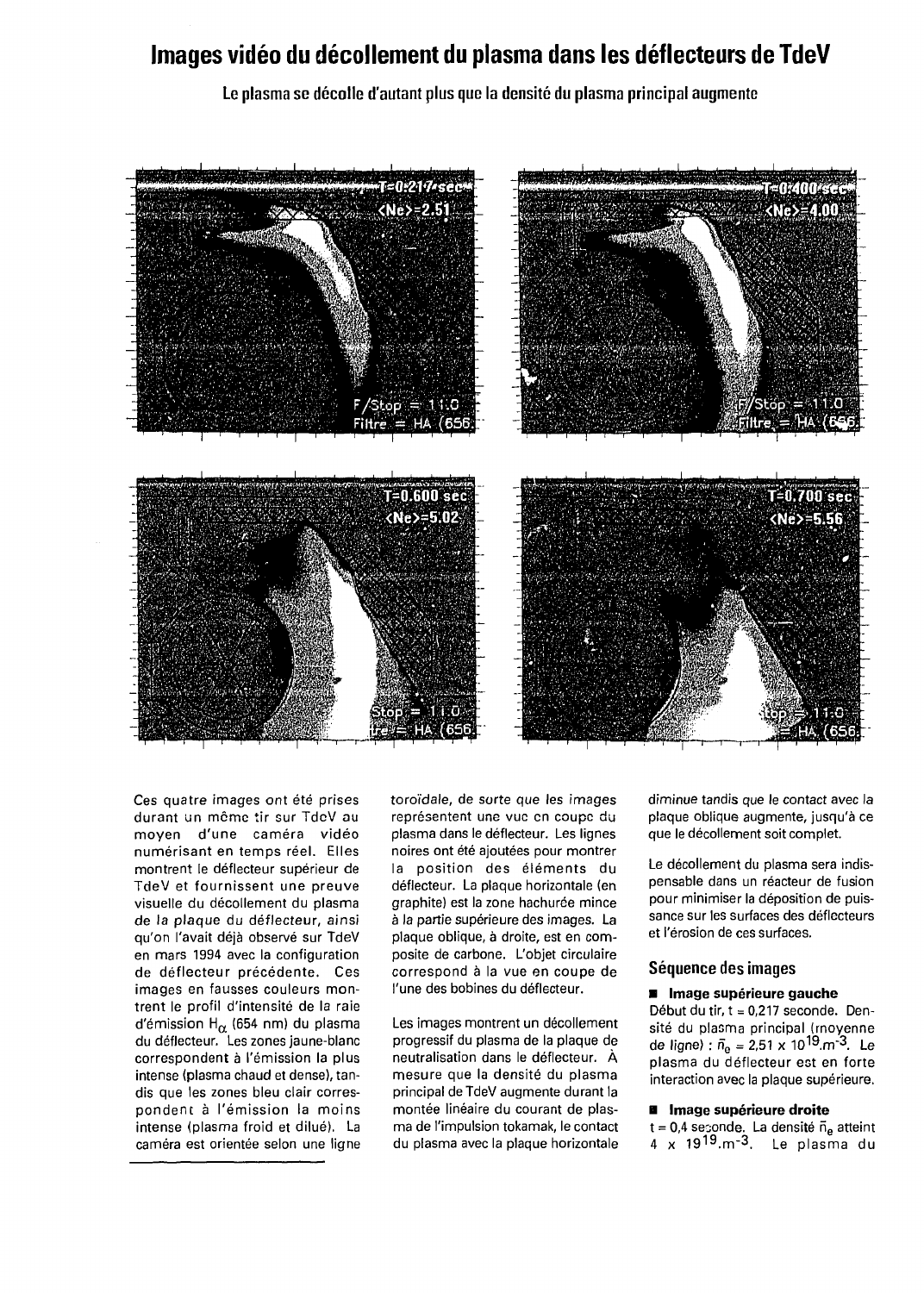## **Images vidéo du décollement du plasma dans les déflecteurs de TdeV**

**Le plasma se décolle d'autant plus que la densité du plasma principal augmente**



Ces quatre images ont été prises durant un môme tir sur TdcV au moyen d'une caméra vidéo numérisant en temps réel. Elles montrent le déflecteur supérieur de TdeV et fournissent une preuve visuelle du décollement du plasma de la plaque du déflecteur, ainsi qu'on l'avait déjà observé sur TdeV en mars 1994 avec la configuration de déflecteur précédente. Ces images en fausses couleurs montrent le profil d'intensité de la raie d'émission H $_{\alpha}$  (654 nm) du plasma du déflecteur. Les zones jaune-blanc correspondent à l'émission la plus intense (plasma chaud et dense), tandis que les zones bleu clair correspondent à l'émission la moins intense (plasma froid et dilué). La caméra est orientée selon une ligne toroïdale, de sorte que les images représentent une vue en coupe du plasma dans le déflecteur. Les lignes noires ont été ajoutées pour montrer la position des éléments du déflecteur. La plaque horizontale (en graphite) est la zone hachurée mince à la partie supérieure des images. La plaque oblique, à droite, est en composite de carbone. L'objet circulaire correspond à la vue en coupe de l'une des bobines du déflecteur.

Les images montrent un décollement progressif du plasma de la plaque de neutralisation dans le déflecteur. À mesure que la densité du plasma principal de TdeV augmente durant la montée linéaire du courant de plasma de l'impulsion tokamak, le contact du plasma avec la plaque horizontale diminue tandis que le contact avec la plaque oblique augmente, jusqu'à ce que le décollement soit complet.

Le décollement du plasma sera indispensable dans un réacteur de fusion pour minimiser la déposition de puissance sur les surfaces des déflecteurs et l'érosion de ces surfaces.

### **Séquence des images**

### **• Image supérieure gauche**

Début du tir,  $t = 0.217$  seconde. Densité du plasma principal (moyenne de ligne) :  $\bar{n}_{\rm e}$  = 2,51 x 10<sup>19</sup>.m<sup>-3</sup>. Le plasma du déflecteur est en forte interaction avec la plaque supérieure.

### **• Image supérieure droite**

 $t = 0.4$  seconde. La densité  $\vec{n}_e$  atteint  $^{19.033 \cdot 10.033 \cdot 10.033 \cdot 10.033 \cdot 10.033 \cdot 10.033 \cdot 10.033 \cdot 10.033 \cdot 10.033 \cdot 10.033 \cdot 10.033 \cdot 10.033 \cdot 10.033 \cdot 10.033 \cdot 10.033 \cdot 10.033 \cdot 10.033 \cdot 10.033 \cdot 10.033 \cdot 10.033 \cdot 10.033 \cdot 10.033 \cdot 10.033 \cdot 10.033 \cdot 10.$ 4 x 19^9.m'3. Le plasma du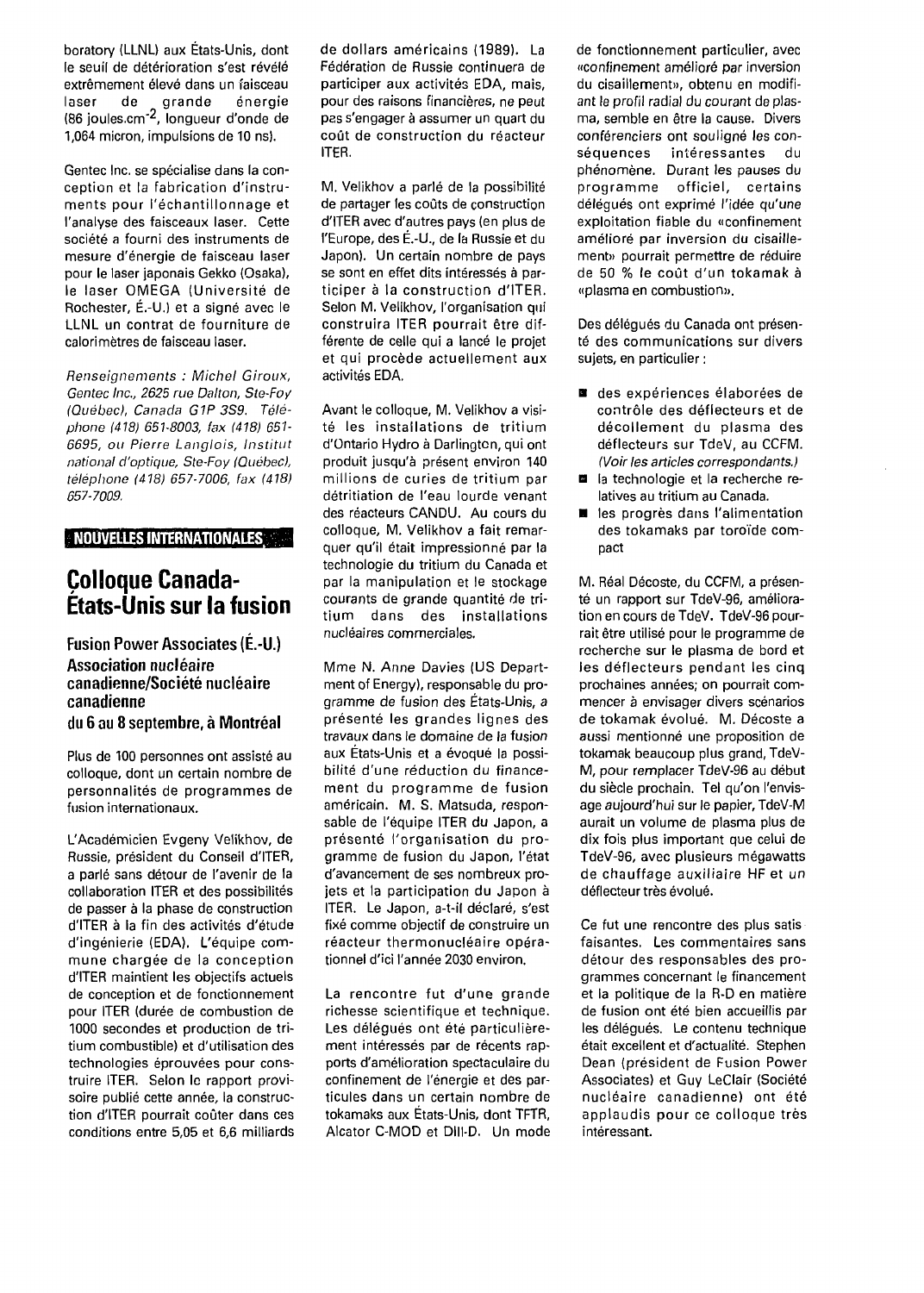boratory (LLNL) aux États-Unis, dont le seuil de détérioration s'est révélé extrêmement élevé dans un faisceau laser de grande énergie (86 joules.cm<sup>-2</sup>, longueur d'onde de 1,064 micron, impulsions de 10 ns).

Gentec Inc. se spécialise dans la conception et la fabrication d'instruments pour l'échantillonnage et l'analyse des faisceaux laser. Cette société a fourni des instruments de mesure d'énergie de faisceau laser pour le laser japonais Gekko (Osaka), le laser OMEGA (Université de Rochester, É.-U.) et a signé avec le LLNL un contrat de fourniture de calorimètres de faisceau laser.

Renseignements : Michel Giroux, Gentec Inc., 2625 rue Dalton, Ste-Fo/ (Québec), Canada G1P 3S9. Téléphone (418) 651-8003, fax (418) 651- 6695, ou Pierre Langlois, Institut national d'optique, Ste-Foy (Québec), téléphone (418) 657-7006, fax (418) 657-7009.

**NOUVELLES INTERNATIONALES**

## **Colloque Canada-États-Unis sur la fusion**

**Fusion Power Associates (É.-U.) Association nucléaire canadienne/Société nucléaire canadienne du 6 au 8 septembre, à Montréal**

Plus de 100 personnes ont assisté au colloque, dont un certain nombre de personnalités de programmes de fusion internationaux.

L'Académicien Evgeny Velikhov, de Russie, président du Conseil d'ITER, a parlé sans détour de l'avenir de la collaboration ITER et des possibilités de passer à la phase de construction d'ITER à la fin des activités d'étude d'ingénierie (EDA). L'équipe commune chargée de la conception d'ITER maintient les objectifs actuels de conception et de fonctionnement pour ITER (durée de combustion de 1000 secondes et production de tritium combustible) et d'utilisation des technologies éprouvées pour construire ITER. Selon le rapport provisoire publié cette année, la construction d'ITER pourrait coûter dans ces conditions entre 5,05 et 6,6 milliards de dollars américains (1989). La Fédération de Russie continuera de participer aux activités EDA, mais, pour des raisons financières, ne peut pas s'engager à assumer un quart du coût de construction du réacteur ITER.

M. Velikhov a parlé de la possibilité de partager les coûts de construction d'ITER avec d'autres pays (en plus de l'Europe, des É.-U., de la Russie et du Japon). Un certain nombre de pays se sont en effet dits intéressés à participer à la construction d'ITER. Selon M. Velikhov, l'organisation qui construira ITER pourrait être différente de celle qui a lancé le projet et qui procède actuellement aux activités EDA.

Avant le colloque, M. Velikhov a visité les installations de tritium d'Ontario Hydro à Darlington, qui ont produit jusqu'à présent environ 140 millions de curies de tritium par détritiation de l'eau lourde venant des réacteurs CANDU. Au cours du colloque, M. Velikhov a fait remarquer qu'il était impressionné par la technologie du tritium du Canada et par la manipulation et le stockage courants de grande quantité de tritium dans des installations nucléaires commerciales.

Mme N. Anne Davies (US Department of Energy), responsable du programme de fusion des États-Unis, a présenté les grandes lignes des travaux dans le domaine de la fusion aux États-Unis et a évoqué la possibilité d'une réduction du financement du programme de fusion américain. M. S. Matsuda, responsable de l'équipe ITER du Japon, a présenté l'organisation du programme de fusion du Japon, l'état d'avancement de ses nombreux projets et la participation du Japon à ITER. Le Japon, a-t-il déclaré, s'est fixé comme objectif de construire un réacteur thermonucléaire opérationnel d'ici l'année 2030 environ.

La rencontre fut d'une grande richesse scientifique et technique. Les délégués ont été particulièrement intéressés par de récents rapports d'amélioration spectaculaire du confinement de l'énergie et des particules dans un certain nombre de tokamaks aux États-Unis, dont TFTR, Alcator C-MOD et Dlll-D. Un mode de fonctionnement particulier, avec «confinement amélioré par inversion du cisaillement», obtenu en modifiant le profil radial du courant de plasma, semble en être la cause. Divers conférenciers ont souligné les conséquences intéressantes du phénomène. Durant les pauses du programme officiel, certains délégués ont exprimé l'idée qu'une exploitation fiable du «confinement amélioré par inversion du cisaillement» pourrait permettre de réduire de 50 % le coût d'un tokamak à «plasma en combustion».

Des délégués du Canada ont présenté des communications sur divers sujets, en particulier :

- des expériences élaborées de contrôle des déflecteurs et de décollement du plasma des déflecteurs sur TdeV, au CCFM. (Voir les articles correspondants.)
- **B** la technologie et la recherche relatives au tritium au Canada.
- les progrès dans l'alimentation des tokamaks par toroïde compact

M. Real Décoste, du CCFM, a présenté un rapport sur TdeV-96, amélioration en cours de TdeV. TdeV-96 pourrait être utilisé pour le programme de recherche sur le plasma de bord et les déflecteurs pendant les cinq prochaines années; on pourrait commencer à envisager divers scénarios de tokamak évolué. M. Décoste a aussi mentionné une proposition de tokamak beaucoup plus grand, TdeV-M, pour remplacer TdeV-96 au début du siècle prochain. Tel qu'on l'envisage aujourd'hui sur le papier, TdeV-M aurait un volume de plasma plus de dix fois plus important que celui de TdeV-96, avec plusieurs mégawatts de chauffage auxiliaire HF et un déflecteur très évolué.

Ce fut une rencontre des plus satis faisantes. Les commentaires sans détour des responsables des programmes concernant le financement et la politique de la R-D en matière de fusion ont été bien accueillis par les délégués. Le contenu technique était excellent et d'actualité. Stephen Dean (président de Fusion Power Associates) et Guy LeClair (Société nucléaire canadienne) ont été applaudis pour ce colloque très intéressant.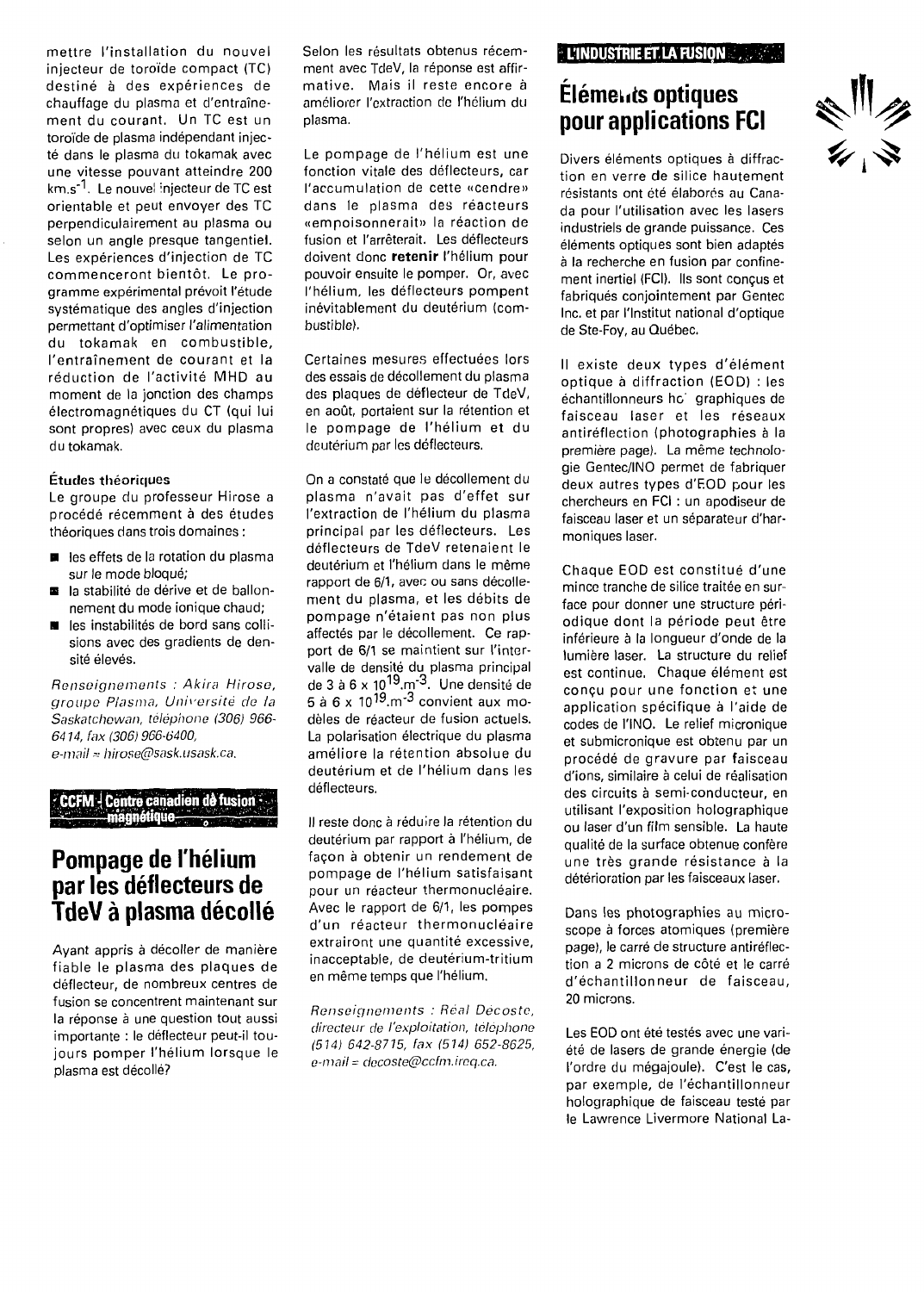mettre l'installation du nouvel injecteur de toroïde compact (TC) destiné à des expériences de chauffage du plasma et d'entraînement du courant, Un TC est un toroïde de plasma indépendant injecté dans le plasma du tokamak avec une vitesse pouvant atteindre 200 km.s<sup>-1</sup>. Le nouvel injecteur de TC est orientable et peut envoyer des TC perpendiculairement au plasma ou selon un angle presque tangentiel. Les expériences d'injection de TC commenceront bientôt. Le programme expérimental prévoit l'étude systématique des angles d'injection permettant d'optimiser l'alimentation du tokamak en combustible, l'entraînement de courant et la réduction de l'activité MHD au moment de la jonction des champs électromagnétiques du CT (qui lui sont propres) avec ceux du plasma du tokamak.

### Études théoriques

Le groupe du professeur Hirose a procédé récemment à des études théoriques dans trois domaines :

- $\blacksquare$  les effets de la rotation du plasma sur le mode bloqué;
- la stabilité de dérive et de ballonnement du mode ionique chaud;
- les instabilités de bord sans collisions avec des gradients de densité élevés.

Renseignements : Akira Hirose, groupe Plasma, Université de la Saskatchewan, téléphone (306) 966- 6414, fax (306) 966-6400, e-mail = hirose@sask.usask.ca.

# **' CCFM-! Centre canadien de fusion-**

## **Pompage de l'hélium par les déflecteurs de TdeV à plasma décollé**

Ayant appris à décoller de manière fiable le plasma des plaques de déflecteur, de nombreux centres de fusion se concentrent maintenant sur la réponse à une question tout aussi importante : le déflecteur peut-il toujours pomper l'hélium lorsque le plasma est décollé?

Selon les résultats obtenus récemment avec TdeV, la réponse est affirmative. Mais il reste encore à améliorer l'extraction de l'hélium du plasma.

Le pompage de l'hélium est une fonction vitale des déflecteurs, car l'accumulation de cette «cendre» dans le plasma des réacteurs «empoisonnerait» la réaction de fusion et l'arrêterait. Les déflecteurs doivent donc **retenir** l'hélium pour pouvoir ensuite le pomper. Or, avec l'hélium, les déflecteurs pompent inévitablement du deutérium (combustible).

Certaines mesures effectuées lors des essais de décollement du plasma des plaques de déflecteur de TdeV, en août, portaient sur la rétention et le pompage de l'hélium et du deutérium par les déflecteurs.

On a constaté que le décollement du plasma n'avait pas d'effet sur l'extraction de l'hélium du plasma principal par les déflecteurs. Les déflecteurs de TdeV retenaient le deuterium et l'hélium dans le même rapport de 6/1, avec ou sans décollement du plasma, et les débits de pompage n'étaient pas non plus affectés par le décollement. Ce rapport de 6/1 se maintient sur l'intervalle de densité du plasma principal de 3 à 6 x 10<sup>19</sup>.m<sup>-3</sup>. Une densité de 5 à 6 x 10<sup>19</sup>.m<sup>-3</sup> convient aux modèles de réacteur de fusion actuels. La polarisation électrique du plasma améliore la rétention absolue du deutérium et de l'hélium dans les déflecteurs.

Il reste donc à réduire la rétention du deutérium par rapport à l'hélium, de façon à obtenir un rendement de pompage de l'hélium satisfaisant pour un réacteur thermonucléaire. Avec le rapport de 6/1, les pompes d'un réacteur thermonucléaire extrairont une quantité excessive, inacceptable, de deutérium-tritium en même temps que l'hélium.

Renseignements : Réal Décoste, directeur de l'exploitation, téléphone (514) 642-8715, fax (514) 652-8625, e-mail = decoste@ccfm.ireq.ca.

### **L'INDUSTRIE ET LA FUSION**

## **Eléments optiques pour applications FCI**



Divers éléments optiques à diffraction en verre de silice hautement résistants ont été élaborés au Canada pour l'utilisation avec les lasers industriels de grande puissance. Ces éléments optiques sont bien adaptés à la recherche en fusion par confinement inertiel (FCI). Ils sont conçus et fabriqués conjointement par Gentec Inc. et par l'Institut national d'optique de Ste-Foy, au Québec.

Il existe deux types d'élément optique à diffraction (EOD) : les échantillonneurs hoi graphiques de faisceau laser et les réseaux antiréflection (photographies à la première page). La même technologie Gentec/INO permet de fabriquer deux autres types d'EOD pour les chercheurs en FCI : un apodiseur de faisceau laser et un séparateur d'harmoniques laser.

Chaque EOD est constitué d'une mince tranche de silice traitée en surface pour donner une structure périodique dont la période peut être inférieure à la longueur d'onde de la lumière laser. La structure du relief est continue. Chaque élément est conçu pour une fonction et une application spécifique à l'aide de codes de l'INO. Le relief micronique et submicronique est obtenu par un procédé de gravure par faisceau d'ions, similaire à celui de réalisation des circuits à semi-conducteur, en utilisant l'exposition holographique ou laser d'un film sensible. La haute qualité de la surface obtenue confère une très grande résistance à la détérioration par les faisceaux laser.

Dans les photographies au microscope à forces atomiques (première page), le carré de structure antiréflection a 2 microns de côté et le carré d'échantillonneur de faisceau, 20 microns.

Les EOD ont été testés avec une variété de lasers de grande énergie (de l'ordre du mégajoule). C'est le cas, par exemple, de l'échantillonneur holographique de faisceau testé par le Lawrence Livermore National La-